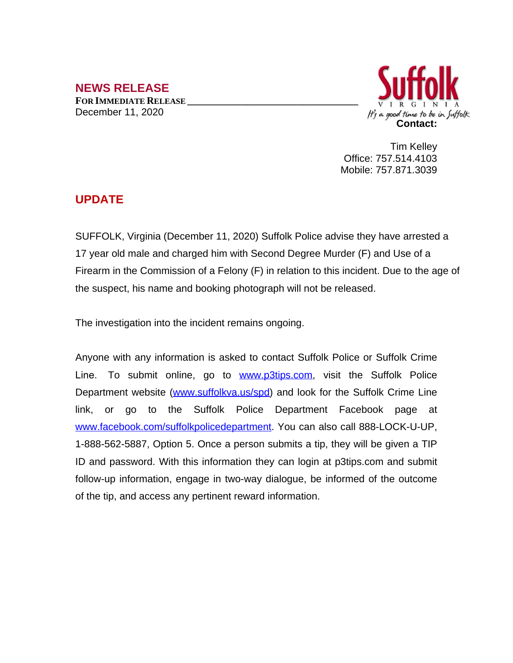## **NEWS RELEASE FOR IMMEDIATE RELEASE \_\_\_\_\_\_\_\_\_\_\_\_\_\_\_\_\_\_\_\_\_\_\_\_\_\_\_\_\_\_\_\_\_\_** December 11, 2020



Tim Kelley Office: 757.514.4103 Mobile: 757.871.3039

## **UPDATE**

SUFFOLK, Virginia (December 11, 2020) Suffolk Police advise they have arrested a 17 year old male and charged him with Second Degree Murder (F) and Use of a Firearm in the Commission of a Felony (F) in relation to this incident. Due to the age of the suspect, his name and booking photograph will not be released.

The investigation into the incident remains ongoing.

Anyone with any information is asked to contact Suffolk Police or Suffolk Crime Line. To submit online, go to **[www.p3tips.com](http://www.p3tips.com)**, visit the Suffolk Police Department website ([www.suffolkva.us/spd\)](http://www.suffolkva.us/spd) and look for the Suffolk Crime Line link, or go to the Suffolk Police Department Facebook page at [www.facebook.com/suffolkpolicedepartment](http://www.facebook.com/suffolkpolicedepartment). You can also call 888-LOCK-U-UP, 1-888-562-5887, Option 5. Once a person submits a tip, they will be given a TIP ID and password. With this information they can login at p3tips.com and submit follow-up information, engage in two-way dialogue, be informed of the outcome of the tip, and access any pertinent reward information.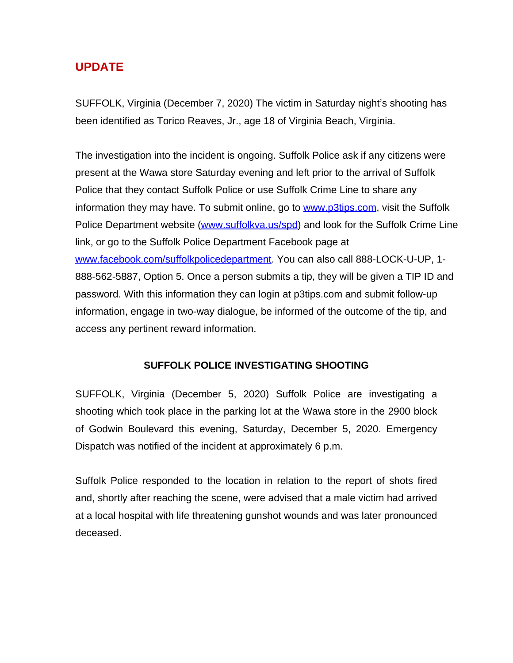## **UPDATE**

SUFFOLK, Virginia (December 7, 2020) The victim in Saturday night's shooting has been identified as Torico Reaves, Jr., age 18 of Virginia Beach, Virginia.

The investigation into the incident is ongoing. Suffolk Police ask if any citizens were present at the Wawa store Saturday evening and left prior to the arrival of Suffolk Police that they contact Suffolk Police or use Suffolk Crime Line to share any information they may have. To submit online, go to [www.p3tips.com](http://www.p3tips.com), visit the Suffolk Police Department website [\(www.suffolkva.us/spd](http://www.suffolkva.us/spd)) and look for the Suffolk Crime Line link, or go to the Suffolk Police Department Facebook page at [www.facebook.com/suffolkpolicedepartment](http://www.facebook.com/suffolkpolicedepartment). You can also call 888-LOCK-U-UP, 1- 888-562-5887, Option 5. Once a person submits a tip, they will be given a TIP ID and password. With this information they can login at p3tips.com and submit follow-up information, engage in two-way dialogue, be informed of the outcome of the tip, and access any pertinent reward information.

## **SUFFOLK POLICE INVESTIGATING SHOOTING**

SUFFOLK, Virginia (December 5, 2020) Suffolk Police are investigating a shooting which took place in the parking lot at the Wawa store in the 2900 block of Godwin Boulevard this evening, Saturday, December 5, 2020. Emergency Dispatch was notified of the incident at approximately 6 p.m.

Suffolk Police responded to the location in relation to the report of shots fired and, shortly after reaching the scene, were advised that a male victim had arrived at a local hospital with life threatening gunshot wounds and was later pronounced deceased.